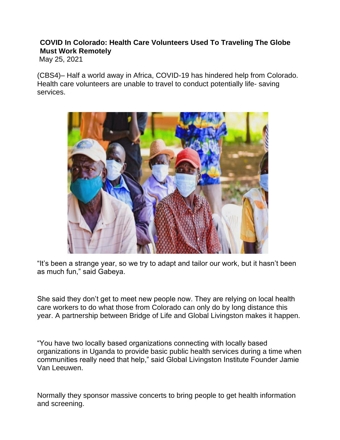## **COVID In Colorado: Health Care Volunteers Used To Traveling The Globe Must Work Remotely**

May 25, 2021

(CBS4)– Half a world away in Africa, COVID-19 has hindered help from Colorado. Health care volunteers are unable to travel to conduct potentially life- saving services.



"It's been a strange year, so we try to adapt and tailor our work, but it hasn't been as much fun," said Gabeya.

She said they don't get to meet new people now. They are relying on local health care workers to do what those from Colorado can only do by long distance this year. A partnership between Bridge of Life and Global Livingston makes it happen.

"You have two locally based organizations connecting with locally based organizations in Uganda to provide basic public health services during a time when communities really need that help," said Global Livingston Institute Founder Jamie Van Leeuwen.

Normally they sponsor massive concerts to bring people to get health information and screening.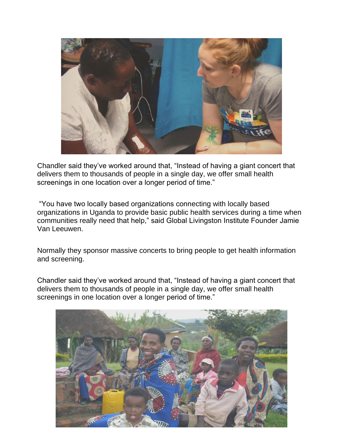

Chandler said they've worked around that, "Instead of having a giant concert that delivers them to thousands of people in a single day, we offer small health screenings in one location over a longer period of time."

"You have two locally based organizations connecting with locally based organizations in Uganda to provide basic public health services during a time when communities really need that help," said Global Livingston Institute Founder Jamie Van Leeuwen.

Normally they sponsor massive concerts to bring people to get health information and screening.

Chandler said they've worked around that, "Instead of having a giant concert that delivers them to thousands of people in a single day, we offer small health screenings in one location over a longer period of time."